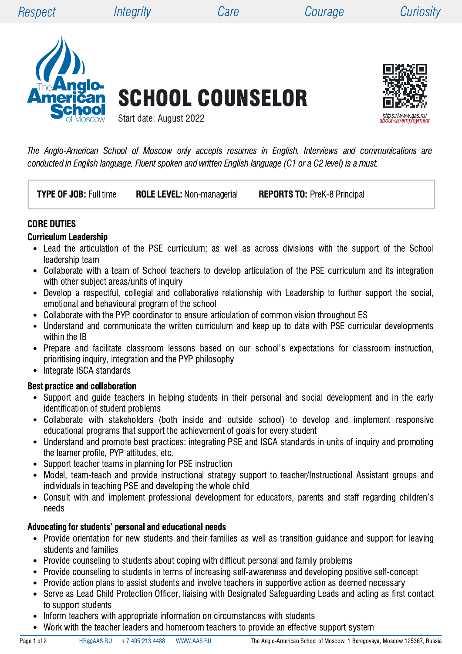

SCHOOL COUNSELOR



The Anglo-American School of Moscow only accepts resumes in English. Interviews and communications are conducted in English language. Fluent spoken and written English language (C1 or a C2 level) is a must.

Start date: August 2022

**TYPE OF JOB:** Full time ROLE LEVEL: Non-managerial REPORTS TO: PreK-8 Principal

### CORE DUTIES

#### Curriculum Leadership

- Lead the articulation of the PSE curriculum; as well as across divisions with the support of the School leadership team
- Collaborate with a team of School teachers to develop articulation of the PSE curriculum and its integration  $\bullet$ with other subject areas/units of inquiry
- Develop a respectful, collegial and collaborative relationship with Leadership to further support the social,  $\bullet$ emotional and behavioural program of the school
- Collaborate with the PYP coordinator to ensure articulation of common vision throughout ES
- Understand and communicate the written curriculum and keep up to date with PSE curricular developments  $\bullet$ within the IB
- Prepare and facilitate classroom lessons based on our school's expectations for classroom instruction, prioritising inquiry, integration and the PYP philosophy
- Integrate ISCA standards  $\bullet$

#### Best practice and collaboration

- Support and guide teachers in helping students in their personal and social development and in the early identification of student problems
- Collaborate with stakeholders (both inside and outside school) to develop and implement responsive educational programs that support the achievement of goals for every student
- Understand and promote best practices: integrating PSE and ISCA standards in units of inquiry and promoting  $\bullet$ the learner profile, PYP attitudes, etc.
- Support teacher teams in planning for PSE instruction
- Model, team-teach and provide instructional strategy support to teacher/Instructional Assistant groups and individuals in teaching PSE and developing the whole child
- Consult with and implement professional development for educators, parents and staff regarding children's needs

#### Advocating for students' personal and educational needs

- Provide orientation for new students and their families as well as transition guidance and support for leaving students and families
- Provide counseling to students about coping with difficult personal and family problems
- Provide counseling to students in terms of increasing self-awareness and developing positive self-concept  $\bullet$
- Provide action plans to assist students and involve teachers in supportive action as deemed necessary
- Serve as Lead Child Protection Officer, liaising with Designated Safeguarding Leads and acting as first contact  $\bullet$ to support students
- Inform teachers with appropriate information on circumstances with students  $\bullet$ 
	- Work with the teacher leaders and homeroom teachers to provide an effective support system